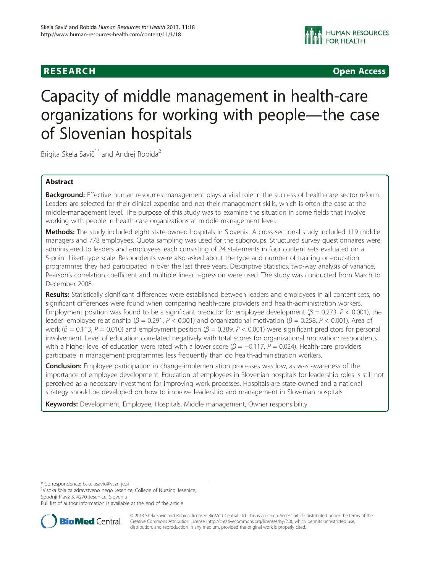**RESEARCH CHINESE ARCH CHINESE ARCH CHINESE ARCH** 

# Capacity of middle management in health-care organizations for working with people—the case of Slovenian hospitals

Brigita Skela Savič<sup>1\*</sup> and Andrej Robida<sup>2</sup>

# Abstract

Background: Effective human resources management plays a vital role in the success of health-care sector reform. Leaders are selected for their clinical expertise and not their management skills, which is often the case at the middle-management level. The purpose of this study was to examine the situation in some fields that involve working with people in health-care organizations at middle-management level.

Methods: The study included eight state-owned hospitals in Slovenia. A cross-sectional study included 119 middle managers and 778 employees. Quota sampling was used for the subgroups. Structured survey questionnaires were administered to leaders and employees, each consisting of 24 statements in four content sets evaluated on a 5-point Likert-type scale. Respondents were also asked about the type and number of training or education programmes they had participated in over the last three years. Descriptive statistics, two-way analysis of variance, Pearson's correlation coefficient and multiple linear regression were used. The study was conducted from March to December 2008.

Results: Statistically significant differences were established between leaders and employees in all content sets; no significant differences were found when comparing health-care providers and health-administration workers. Employment position was found to be a significant predictor for employee development ( $\beta = 0.273$ ,  $P < 0.001$ ), the leader–employee relationship (β = 0.291, P < 0.001) and organizational motivation (β = 0.258, P < 0.001). Area of work ( $β = 0.113$ ,  $P = 0.010$ ) and employment position ( $β = 0.389$ ,  $P < 0.001$ ) were significant predictors for personal involvement. Level of education correlated negatively with total scores for organizational motivation: respondents with a higher level of education were rated with a lower score ( $\beta = -0.117$ ,  $P = 0.024$ ). Health-care providers participate in management programmes less frequently than do health-administration workers.

**Conclusion:** Employee participation in change-implementation processes was low, as was awareness of the importance of employee development. Education of employees in Slovenian hospitals for leadership roles is still not perceived as a necessary investment for improving work processes. Hospitals are state owned and a national strategy should be developed on how to improve leadership and management in Slovenian hospitals.

**Keywords:** Development, Employee, Hospitals, Middle management, Owner responsibility

\* Correspondence: [bskelasavic@vszn-je.si](mailto:bskelasavic@vszn-je.si) <sup>1</sup>

<sup>1</sup>Visoka šola za zdravstveno nego Jesenice, College of Nursing Jesenice, Spodnji Plavž 3, 4270 Jesenice, Slovenia

Full list of author information is available at the end of the article



© 2013 Skela Savič and Robida; licensee BioMed Central Ltd. This is an Open Access article distributed under the terms of the Creative Commons Attribution License (<http://creativecommons.org/licenses/by/2.0>), which permits unrestricted use, distribution, and reproduction in any medium, provided the original work is properly cited.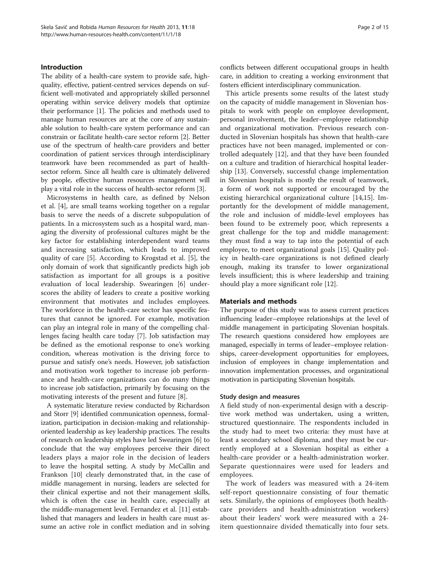# Introduction

The ability of a health-care system to provide safe, highquality, effective, patient-centred services depends on sufficient well-motivated and appropriately skilled personnel operating within service delivery models that optimize their performance [[1](#page-13-0)]. The policies and methods used to manage human resources are at the core of any sustainable solution to health-care system performance and can constrain or facilitate health-care sector reform [\[2](#page-13-0)]. Better use of the spectrum of health-care providers and better coordination of patient services through interdisciplinary teamwork have been recommended as part of healthsector reform. Since all health care is ultimately delivered by people, effective human resources management will play a vital role in the success of health-sector reform [[3](#page-13-0)].

Microsystems in health care, as defined by Nelson et al. [[4](#page-13-0)], are small teams working together on a regular basis to serve the needs of a discrete subpopulation of patients. In a microsystem such as a hospital ward, managing the diversity of professional cultures might be the key factor for establishing interdependent ward teams and increasing satisfaction, which leads to improved quality of care [[5\]](#page-13-0). According to Krogstad et al. [[5\]](#page-13-0), the only domain of work that significantly predicts high job satisfaction as important for all groups is a positive evaluation of local leadership. Swearingen [\[6\]](#page-13-0) underscores the ability of leaders to create a positive working environment that motivates and includes employees. The workforce in the health-care sector has specific features that cannot be ignored. For example, motivation can play an integral role in many of the compelling challenges facing health care today [[7\]](#page-13-0). Job satisfaction may be defined as the emotional response to one's working condition, whereas motivation is the driving force to pursue and satisfy one's needs. However, job satisfaction and motivation work together to increase job performance and health-care organizations can do many things to increase job satisfaction, primarily by focusing on the motivating interests of the present and future [\[8](#page-13-0)].

A systematic literature review conducted by Richardson and Storr [\[9\]](#page-13-0) identified communication openness, formalization, participation in decision-making and relationshiporiented leadership as key leadership practices. The results of research on leadership styles have led Swearingen [[6](#page-13-0)] to conclude that the way employees perceive their direct leaders plays a major role in the decision of leaders to leave the hospital setting. A study by McCallin and Frankson [[10](#page-13-0)] clearly demonstrated that, in the case of middle management in nursing, leaders are selected for their clinical expertise and not their management skills, which is often the case in health care, especially at the middle-management level. Fernandez et al. [[11\]](#page-13-0) established that managers and leaders in health care must assume an active role in conflict mediation and in solving conflicts between different occupational groups in health care, in addition to creating a working environment that fosters efficient interdisciplinary communication.

This article presents some results of the latest study on the capacity of middle management in Slovenian hospitals to work with people on employee development, personal involvement, the leader–employee relationship and organizational motivation. Previous research conducted in Slovenian hospitals has shown that health-care practices have not been managed, implemented or controlled adequately [\[12](#page-13-0)], and that they have been founded on a culture and tradition of hierarchical hospital leadership [\[13](#page-13-0)]. Conversely, successful change implementation in Slovenian hospitals is mostly the result of teamwork, a form of work not supported or encouraged by the existing hierarchical organizational culture [[14,15\]](#page-13-0). Importantly for the development of middle management, the role and inclusion of middle-level employees has been found to be extremely poor, which represents a great challenge for the top and middle management: they must find a way to tap into the potential of each employee, to meet organizational goals [[15\]](#page-13-0). Quality policy in health-care organizations is not defined clearly enough, making its transfer to lower organizational levels insufficient; this is where leadership and training should play a more significant role [[12\]](#page-13-0).

#### Materials and methods

The purpose of this study was to assess current practices influencing leader–employee relationships at the level of middle management in participating Slovenian hospitals. The research questions considered how employees are managed, especially in terms of leader–employee relationships, career-development opportunities for employees, inclusion of employees in change implementation and innovation implementation processes, and organizational motivation in participating Slovenian hospitals.

# Study design and measures

A field study of non-experimental design with a descriptive work method was undertaken, using a written, structured questionnaire. The respondents included in the study had to meet two criteria: they must have at least a secondary school diploma, and they must be currently employed at a Slovenian hospital as either a health-care provider or a health-administration worker. Separate questionnaires were used for leaders and employees.

The work of leaders was measured with a 24-item self-report questionnaire consisting of four thematic sets. Similarly, the opinions of employees (both healthcare providers and health-administration workers) about their leaders' work were measured with a 24 item questionnaire divided thematically into four sets.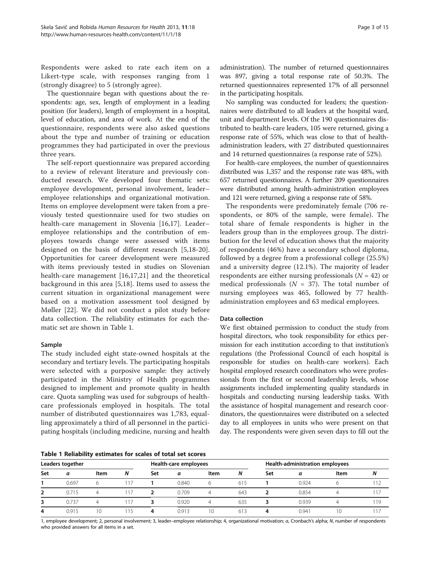Respondents were asked to rate each item on a Likert-type scale, with responses ranging from 1 (strongly disagree) to 5 (strongly agree).

The questionnaire began with questions about the respondents: age, sex, length of employment in a leading position (for leaders), length of employment in a hospital, level of education, and area of work. At the end of the questionnaire, respondents were also asked questions about the type and number of training or education programmes they had participated in over the previous three years.

The self-report questionnaire was prepared according to a review of relevant literature and previously conducted research. We developed four thematic sets: employee development, personal involvement, leader– employee relationships and organizational motivation. Items on employee development were taken from a previously tested questionnaire used for two studies on health-care management in Slovenia [[16,17\]](#page-13-0). Leaderemployee relationships and the contribution of employees towards change were assessed with items designed on the basis of different research [\[5,18](#page-13-0)-[20](#page-13-0)]. Opportunities for career development were measured with items previously tested in studies on Slovenian health-care management [\[16](#page-13-0),[17](#page-13-0),[21\]](#page-13-0) and the theoretical background in this area [[5,18](#page-13-0)]. Items used to assess the current situation in organizational management were based on a motivation assessment tool designed by Møller [\[22](#page-13-0)]. We did not conduct a pilot study before data collection. The reliability estimates for each thematic set are shown in Table 1.

## Sample

The study included eight state-owned hospitals at the secondary and tertiary levels. The participating hospitals were selected with a purposive sample: they actively participated in the Ministry of Health programmes designed to implement and promote quality in health care. Quota sampling was used for subgroups of healthcare professionals employed in hospitals. The total number of distributed questionnaires was 1,783, equalling approximately a third of all personnel in the participating hospitals (including medicine, nursing and health

Table 1 Reliability estimates for scales of total set scores

administration). The number of returned questionnaires was 897, giving a total response rate of 50.3%. The returned questionnaires represented 17% of all personnel in the participating hospitals.

No sampling was conducted for leaders; the questionnaires were distributed to all leaders at the hospital ward, unit and department levels. Of the 190 questionnaires distributed to health-care leaders, 105 were returned, giving a response rate of 55%, which was close to that of healthadministration leaders, with 27 distributed questionnaires and 14 returned questionnaires (a response rate of 52%).

For health-care employees, the number of questionnaires distributed was 1,357 and the response rate was 48%, with 657 returned questionnaires. A further 209 questionnaires were distributed among health-administration employees and 121 were returned, giving a response rate of 58%.

The respondents were predominately female (706 respondents, or 80% of the sample, were female). The total share of female respondents is higher in the leaders group than in the employees group. The distribution for the level of education shows that the majority of respondents (46%) have a secondary school diploma, followed by a degree from a professional college (25.5%) and a university degree (12.1%). The majority of leader respondents are either nursing professionals ( $N = 42$ ) or medical professionals ( $N = 37$ ). The total number of nursing employees was 465, followed by 77 healthadministration employees and 63 medical employees.

## Data collection

We first obtained permission to conduct the study from hospital directors, who took responsibility for ethics permission for each institution according to that institution's regulations (the Professional Council of each hospital is responsible for studies on health-care workers). Each hospital employed research coordinators who were professionals from the first or second leadership levels, whose assignments included implementing quality standards in hospitals and conducting nursing leadership tasks. With the assistance of hospital management and research coordinators, the questionnaires were distributed on a selected day to all employees in units who were present on that day. The respondents were given seven days to fill out the

| Leaders together |          |      |     | Health-care employees |       |              |     | Health-administration employees |       |      |     |  |  |
|------------------|----------|------|-----|-----------------------|-------|--------------|-----|---------------------------------|-------|------|-----|--|--|
| Set              | $\alpha$ | Item | N   | Set                   | a     | Item         | N   | Set                             | α     | Item | N   |  |  |
|                  | 0.697    | h    | 17ء |                       | 0.840 | <sub>6</sub> | 615 |                                 | 0.924 | b    |     |  |  |
|                  | 0.715    |      |     |                       | 0.709 | 4            | 643 |                                 | 0.854 |      |     |  |  |
| 3                | 0.737    |      |     |                       | 0.920 | 4            | 635 |                                 | 0.939 |      | 119 |  |  |
| 4                | 0.915    | 10   |     |                       | 0.913 | 10           | 613 |                                 | 0.941 | 10   |     |  |  |

1, employee development; 2, personal involvement; 3, leader–employee relationship; 4, organizational motivation; α, Cronbach's alpha; N, number of respondents who provided answers for all items in a set.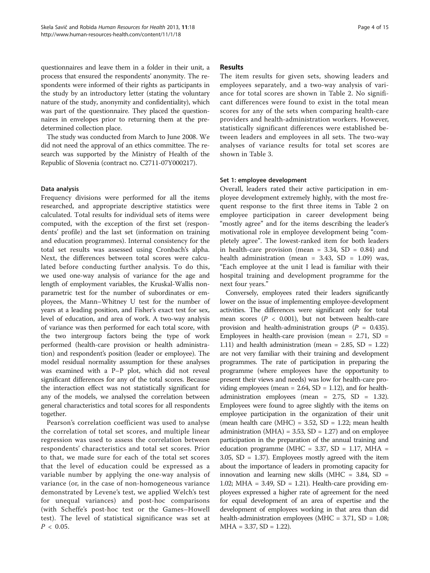questionnaires and leave them in a folder in their unit, a process that ensured the respondents' anonymity. The respondents were informed of their rights as participants in the study by an introductory letter (stating the voluntary nature of the study, anonymity and confidentiality), which was part of the questionnaire. They placed the questionnaires in envelopes prior to returning them at the predetermined collection place.

The study was conducted from March to June 2008. We did not need the approval of an ethics committee. The research was supported by the Ministry of Health of the Republic of Slovenia (contract no. C2711-07Y000217).

## Data analysis

Frequency divisions were performed for all the items researched, and appropriate descriptive statistics were calculated. Total results for individual sets of items were computed, with the exception of the first set (respondents' profile) and the last set (information on training and education programmes). Internal consistency for the total set results was assessed using Cronbach's alpha. Next, the differences between total scores were calculated before conducting further analysis. To do this, we used one-way analysis of variance for the age and length of employment variables, the Kruskal-Wallis nonparametric test for the number of subordinates or employees, the Mann–Whitney U test for the number of years at a leading position, and Fisher's exact test for sex, level of education, and area of work. A two-way analysis of variance was then performed for each total score, with the two intergroup factors being the type of work performed (health-care provision or health administration) and respondent's position (leader or employee). The model residual normality assumption for these analyses was examined with a P–P plot, which did not reveal significant differences for any of the total scores. Because the interaction effect was not statistically significant for any of the models, we analysed the correlation between general characteristics and total scores for all respondents together.

Pearson's correlation coefficient was used to analyse the correlation of total set scores, and multiple linear regression was used to assess the correlation between respondents' characteristics and total set scores. Prior to that, we made sure for each of the total set scores that the level of education could be expressed as a variable number by applying the one-way analysis of variance (or, in the case of non-homogeneous variance demonstrated by Levene's test, we applied Welch's test for unequal variances) and post-hoc comparisons (with Scheffe's post-hoc test or the Games–Howell test). The level of statistical significance was set at  $P < 0.05$ .

## Results

The item results for given sets, showing leaders and employees separately, and a two-way analysis of variance for total scores are shown in Table [2.](#page-4-0) No significant differences were found to exist in the total mean scores for any of the sets when comparing health-care providers and health-administration workers. However, statistically significant differences were established between leaders and employees in all sets. The two-way analyses of variance results for total set scores are shown in Table [3](#page-5-0).

#### Set 1: employee development

Overall, leaders rated their active participation in employee development extremely highly, with the most frequent response to the first three items in Table [2](#page-4-0) on employee participation in career development being "mostly agree" and for the items describing the leader's motivational role in employee development being "completely agree". The lowest-ranked item for both leaders in health-care provision (mean =  $3.34$ , SD =  $0.84$ ) and health administration (mean =  $3.43$ , SD =  $1.09$ ) was, "Each employee at the unit I lead is familiar with their hospital training and development programme for the next four years."

Conversely, employees rated their leaders significantly lower on the issue of implementing employee-development activities. The differences were significant only for total mean scores ( $P < 0.001$ ), but not between health-care provision and health-administration groups ( $P = 0.435$ ). Employees in health-care provision (mean =  $2.71$ , SD = 1.11) and health administration (mean =  $2.85$ , SD =  $1.22$ ) are not very familiar with their training and development programmes. The rate of participation in preparing the programme (where employees have the opportunity to present their views and needs) was low for health-care providing employees (mean =  $2.64$ , SD = 1.12), and for healthadministration employees (mean = 2.75, SD = 1.32). Employees were found to agree slightly with the items on employee participation in the organization of their unit (mean health care  $(MHC) = 3.52$ , SD = 1.22; mean health administration (MHA) = 3.53,  $SD = 1.27$ ) and on employee participation in the preparation of the annual training and education programme (MHC =  $3.37$ , SD = 1.17, MHA =  $3.05$ ,  $SD = 1.37$ ). Employees mostly agreed with the item about the importance of leaders in promoting capacity for innovation and learning new skills (MHC =  $3.84$ , SD = 1.02; MHA = 3.49, SD = 1.21). Health-care providing employees expressed a higher rate of agreement for the need for equal development of an area of expertise and the development of employees working in that area than did health-administration employees (MHC =  $3.71$ , SD =  $1.08$ ;  $MHA = 3.37$ ,  $SD = 1.22$ ).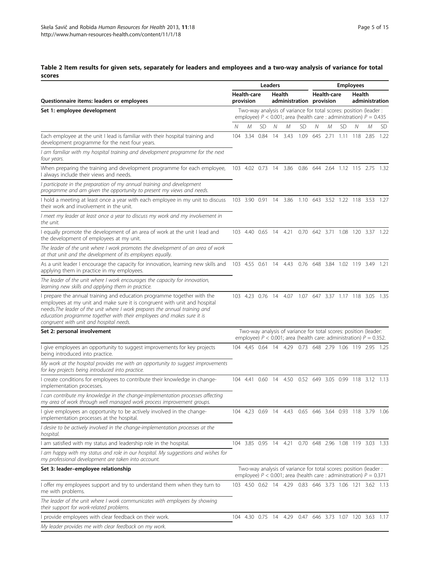# <span id="page-4-0"></span>Table 2 Item results for given sets, separately for leaders and employees and a two-way analysis of variance for total scores

|                                                                                                                                                                                                                                                                                                                                                          | Leaders                            |                       |           |                                                                                                                                              | <b>Employees</b>                                                                                                                             |      |             |          |           |                          |                                  |           |
|----------------------------------------------------------------------------------------------------------------------------------------------------------------------------------------------------------------------------------------------------------------------------------------------------------------------------------------------------------|------------------------------------|-----------------------|-----------|----------------------------------------------------------------------------------------------------------------------------------------------|----------------------------------------------------------------------------------------------------------------------------------------------|------|-------------|----------|-----------|--------------------------|----------------------------------|-----------|
| Questionnaire items: leaders or employees                                                                                                                                                                                                                                                                                                                | Health-care<br>Health<br>provision |                       |           |                                                                                                                                              | administration provision                                                                                                                     |      | Health-care |          |           | Health<br>administration |                                  |           |
| Set 1: employee development                                                                                                                                                                                                                                                                                                                              |                                    |                       |           | Two-way analysis of variance for total scores: position (leader :<br>employee) $P < 0.001$ ; area (health care : administration) $P = 0.435$ |                                                                                                                                              |      |             |          |           |                          |                                  |           |
|                                                                                                                                                                                                                                                                                                                                                          | Ν                                  | М                     | <b>SD</b> | N                                                                                                                                            | M                                                                                                                                            | SD   | Ν           | M        | <b>SD</b> | Ν                        | М                                | <b>SD</b> |
| Each employee at the unit I lead is familiar with their hospital training and<br>development programme for the next four years.                                                                                                                                                                                                                          | 104                                |                       | 3.34 0.84 | 14                                                                                                                                           | 3.43                                                                                                                                         | 1.09 |             | 645 2.71 |           | 1.11 118 2.85            |                                  | 1.22      |
| I am familiar with my hospital training and development programme for the next<br>four years.                                                                                                                                                                                                                                                            |                                    |                       |           |                                                                                                                                              |                                                                                                                                              |      |             |          |           |                          |                                  |           |
| When preparing the training and development programme for each employee,<br>I always include their views and needs.                                                                                                                                                                                                                                      |                                    |                       |           |                                                                                                                                              | 103 4.02 0.73 14 3.86                                                                                                                        |      |             |          |           |                          | 0.86 644 2.64 1.12 115 2.75 1.32 |           |
| I participate in the preparation of my annual training and development<br>programme and am given the opportunity to present my views and needs.                                                                                                                                                                                                          |                                    |                       |           |                                                                                                                                              |                                                                                                                                              |      |             |          |           |                          |                                  |           |
| I hold a meeting at least once a year with each employee in my unit to discuss<br>their work and involvement in the unit.                                                                                                                                                                                                                                |                                    |                       |           |                                                                                                                                              | 103 3.90 0.91 14 3.86 1.10 643 3.52 1.22 118 3.53 1.27                                                                                       |      |             |          |           |                          |                                  |           |
| I meet my leader at least once a year to discuss my work and my involvement in<br>the unit.                                                                                                                                                                                                                                                              |                                    |                       |           |                                                                                                                                              |                                                                                                                                              |      |             |          |           |                          |                                  |           |
| I equally promote the development of an area of work at the unit I lead and<br>the development of employees at my unit.                                                                                                                                                                                                                                  |                                    | 103 4.40 0.65 14 4.21 |           |                                                                                                                                              |                                                                                                                                              |      |             |          |           |                          | 0.70 642 3.71 1.08 120 3.37 1.22 |           |
| The leader of the unit where I work promotes the development of an area of work<br>at that unit and the development of its employees equally.                                                                                                                                                                                                            |                                    |                       |           |                                                                                                                                              |                                                                                                                                              |      |             |          |           |                          |                                  |           |
| As a unit leader I encourage the capacity for innovation, learning new skills and<br>applying them in practice in my employees.                                                                                                                                                                                                                          |                                    |                       |           |                                                                                                                                              | 103 4.55 0.61 14 4.43                                                                                                                        |      |             |          |           |                          | 0.76 648 3.84 1.02 119 3.49 1.21 |           |
| The leader of the unit where I work encourages the capacity for innovation,<br>learning new skills and applying them in practice.                                                                                                                                                                                                                        |                                    |                       |           |                                                                                                                                              |                                                                                                                                              |      |             |          |           |                          |                                  |           |
| I prepare the annual training and education programme together with the<br>employees at my unit and make sure it is congruent with unit and hospital<br>needs. The leader of the unit where I work prepares the annual training and<br>education programme together with their employees and makes sure it is<br>congruent with unit and hospital needs. |                                    |                       |           |                                                                                                                                              | 103 4.23 0.76 14 4.07 1.07 647 3.37 1.17 118 3.05 1.35                                                                                       |      |             |          |           |                          |                                  |           |
| Set 2: personal involvement                                                                                                                                                                                                                                                                                                                              |                                    |                       |           |                                                                                                                                              | Two-way analysis of variance for total scores: position (leader:<br>employee) $P < 0.001$ ; area (health care: administration) $P = 0.352$ . |      |             |          |           |                          |                                  |           |
| I give employees an opportunity to suggest improvements for key projects<br>being introduced into practice.                                                                                                                                                                                                                                              |                                    |                       |           |                                                                                                                                              | 104 4,45 0.64 14 4.29 0.73 648 2.79 1.06 119 2.95 1.25                                                                                       |      |             |          |           |                          |                                  |           |
| My work at the hospital provides me with an opportunity to suggest improvements<br>for key projects being introduced into practice.                                                                                                                                                                                                                      |                                    |                       |           |                                                                                                                                              |                                                                                                                                              |      |             |          |           |                          |                                  |           |
| I create conditions for employees to contribute their knowledge in change-<br>implementation processes.                                                                                                                                                                                                                                                  |                                    |                       |           |                                                                                                                                              | 104 4.41 0.60 14 4.50                                                                                                                        |      |             |          |           |                          | 0.52 649 3.05 0.99 118 3.12 1.13 |           |
| I can contribute my knowledge in the change-implementation processes affecting<br>my area of work through well managed work process improvement groups.                                                                                                                                                                                                  |                                    |                       |           |                                                                                                                                              |                                                                                                                                              |      |             |          |           |                          |                                  |           |
| I give employees an opportunity to be actively involved in the change-<br>implementation processes at the hospital.                                                                                                                                                                                                                                      |                                    | 104 4.23 0.69         |           | 14                                                                                                                                           | 4.43                                                                                                                                         |      |             |          |           |                          | 0.65 646 3.64 0.93 118 3.79 1.06 |           |
| I desire to be actively involved in the change-implementation processes at the<br>hospital.                                                                                                                                                                                                                                                              |                                    |                       |           |                                                                                                                                              |                                                                                                                                              |      |             |          |           |                          |                                  |           |
| I am satisfied with my status and leadership role in the hospital.                                                                                                                                                                                                                                                                                       |                                    |                       |           |                                                                                                                                              | 104 3.85 0.95 14 4.21 0.70 648 2.96 1.08 119 3.03 1.33                                                                                       |      |             |          |           |                          |                                  |           |
| I am happy with my status and role in our hospital. My suggestions and wishes for<br>my professional development are taken into account.                                                                                                                                                                                                                 |                                    |                       |           |                                                                                                                                              |                                                                                                                                              |      |             |          |           |                          |                                  |           |
| Set 3: leader–employee relationship                                                                                                                                                                                                                                                                                                                      |                                    |                       |           |                                                                                                                                              | Two-way analysis of variance for total scores: position (leader :<br>employee) $P < 0.001$ ; area (health care : administration) $P = 0.371$ |      |             |          |           |                          |                                  |           |
| I offer my employees support and try to understand them when they turn to<br>me with problems.                                                                                                                                                                                                                                                           |                                    |                       |           |                                                                                                                                              | 103 4.50 0.62 14 4.29 0.83 646 3.73 1.06 121 3.62 1.13                                                                                       |      |             |          |           |                          |                                  |           |
| The leader of the unit where I work communicates with employees by showing<br>their support for work-related problems.                                                                                                                                                                                                                                   |                                    |                       |           |                                                                                                                                              |                                                                                                                                              |      |             |          |           |                          |                                  |           |
| I provide employees with clear feedback on their work.                                                                                                                                                                                                                                                                                                   |                                    |                       |           |                                                                                                                                              | 104 4.30 0.75 14 4.29                                                                                                                        |      |             |          |           |                          | 0.47 646 3.73 1.07 120 3.63 1.17 |           |
| My leader provides me with clear feedback on my work.                                                                                                                                                                                                                                                                                                    |                                    |                       |           |                                                                                                                                              |                                                                                                                                              |      |             |          |           |                          |                                  |           |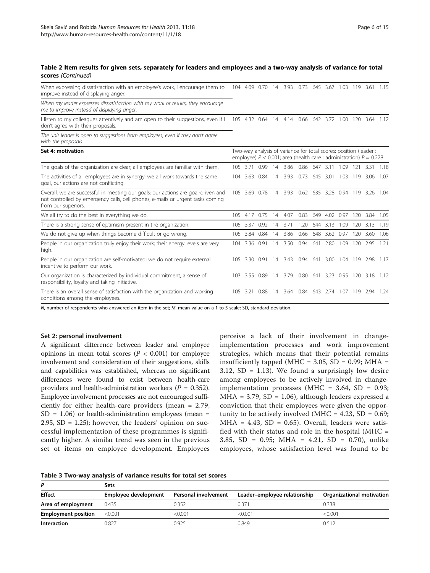#### <span id="page-5-0"></span>Table 2 Item results for given sets, separately for leaders and employees and a two-way analysis of variance for total scores (Continued)

| When expressing dissatisfaction with an employee's work, I encourage them to<br>improve instead of displaying anger.                                                                      |                                                                                                                                              | 104 4.09      | 0.70      | 14 | 3.93 |      |          | 0.73 645 3.67 1.03 119 3.61 |                 |     |                                  | - 1.15 |
|-------------------------------------------------------------------------------------------------------------------------------------------------------------------------------------------|----------------------------------------------------------------------------------------------------------------------------------------------|---------------|-----------|----|------|------|----------|-----------------------------|-----------------|-----|----------------------------------|--------|
| When my leader expresses dissatisfaction with my work or results, they encourage<br>me to improve instead of displaying anger.                                                            |                                                                                                                                              |               |           |    |      |      |          |                             |                 |     |                                  |        |
| I listen to my colleagues attentively and am open to their suggestions, even if I<br>don't agree with their proposals.                                                                    |                                                                                                                                              | 105 4.32 0.64 |           | 14 | 4.14 |      |          | 0.66 642 3.72 1.00          |                 |     | 120 3.64                         | 1.12   |
| The unit leader is open to suggestions from employees, even if they don't agree<br>with the proposals.                                                                                    |                                                                                                                                              |               |           |    |      |      |          |                             |                 |     |                                  |        |
| Set 4: motivation                                                                                                                                                                         | Two-way analysis of variance for total scores: position (leader :<br>employee) $P < 0.001$ ; area (health care : administration) $P = 0.228$ |               |           |    |      |      |          |                             |                 |     |                                  |        |
| The goals of the organization are clear; all employees are familiar with them.                                                                                                            |                                                                                                                                              | 105 3.71      | 0.99      | 14 | 3.86 |      | 0.86 647 | 3.11                        | 1.09            | 121 | 3.31                             | 1.18   |
| The activities of all employees are in synergy; we all work towards the same<br>goal, our actions are not conflicting.                                                                    | 104                                                                                                                                          | 3.63          | 0.84      | 14 | 3.93 | 0.73 | 645      | 3.01                        | 1.03            | 119 | 3.06                             | 1.07   |
| Overall, we are successful in meeting our goals: our actions are goal-driven and<br>not controlled by emergency calls, cell phones, e-mails or urgent tasks coming<br>from our superiors. |                                                                                                                                              | 105 3.69 0.78 |           | 14 | 3.93 |      |          |                             |                 |     | 0.62 635 3.28 0.94 119 3.26 1.04 |        |
| We all try to do the best in everything we do.                                                                                                                                            |                                                                                                                                              | 105 4.17      | 0.75      | 14 | 4.07 | 0.83 | 649      | 4.02                        | 0.97            | 120 | -3.84                            | 1.05   |
| There is a strong sense of optimism present in the organization.                                                                                                                          |                                                                                                                                              | 105 3.37      | 0.92      | 14 | 3.71 | 1.20 | 644      | 3.13                        | 1.09            | 120 | 3.13                             | 1.19   |
| We do not give up when things become difficult or go wrong.                                                                                                                               | 105                                                                                                                                          |               | 3.84 0.84 | 14 | 3.86 | 0.66 | 648      | 3.62                        | 0.97            | 120 | 3.60                             | 1.06   |
| People in our organization truly enjoy their work; their energy levels are very<br>high.                                                                                                  |                                                                                                                                              | 104 3.36 0.91 |           | 14 | 3.50 | 0.94 | 641      |                             | 2.80 1.09       | 120 | 2.95                             | 1.21   |
| People in our organization are self-motivated; we do not require external<br>incentive to perform our work.                                                                               | 105                                                                                                                                          | 3.30          | 0.91      | 14 | 3.43 | 0.94 | 641      | 3.00                        | 1 <sub>04</sub> | 119 | 2.98                             | 1.17   |
| Our organization is characterized by individual commitment, a sense of<br>responsibility, loyalty and taking initiative.                                                                  | 103                                                                                                                                          | 3.55          | 0.89      | 14 | 3.79 | 0.80 | 641      | 3.23                        | 0.95            |     | 120 3.18                         | - 1.12 |
| There is an overall sense of satisfaction with the organization and working<br>conditions among the employees.                                                                            | 105                                                                                                                                          | 3.21          | 0.88      | 14 | 3.64 | 0.84 | 643      | 2.74                        | 1.07            | 119 | 2.94                             | 1.24   |

N, number of respondents who answered an item in the set; M, mean value on a 1 to 5 scale; SD, standard deviation.

#### Set 2: personal involvement

A significant difference between leader and employee opinions in mean total scores ( $P < 0.001$ ) for employee involvement and consideration of their suggestions, skills and capabilities was established, whereas no significant differences were found to exist between health-care providers and health-administration workers ( $P = 0.352$ ). Employee involvement processes are not encouraged sufficiently for either health-care providers (mean = 2.79,  $SD = 1.06$ ) or health-administration employees (mean = 2.95,  $SD = 1.25$ ; however, the leaders' opinion on successful implementation of these programmes is significantly higher. A similar trend was seen in the previous set of items on employee development. Employees

perceive a lack of their involvement in changeimplementation processes and work improvement strategies, which means that their potential remains insufficiently tapped (MHC =  $3.05$ , SD = 0.99; MHA = 3.12,  $SD = 1.13$ ). We found a surprisingly low desire among employees to be actively involved in changeimplementation processes (MHC =  $3.64$ , SD = 0.93;  $MHA = 3.79$ ,  $SD = 1.06$ ), although leaders expressed a conviction that their employees were given the opportunity to be actively involved (MHC =  $4.23$ , SD =  $0.69$ ;  $MHA = 4.43$ , SD = 0.65). Overall, leaders were satisfied with their status and role in the hospital ( $MHC =$ 3.85, SD = 0.95; MHA = 4.21, SD = 0.70), unlike employees, whose satisfaction level was found to be

| Table 3 Two-way analysis of variance results for total set scores |  |  |  |  |  |
|-------------------------------------------------------------------|--|--|--|--|--|
|-------------------------------------------------------------------|--|--|--|--|--|

| P                          | Sets                 |                      |                              |                           |
|----------------------------|----------------------|----------------------|------------------------------|---------------------------|
| <b>Effect</b>              | Employee development | Personal involvement | Leader-employee relationship | Organizational motivation |
| Area of employment         | 0.435                | 0.352                | ว 371                        | 0.338                     |
| <b>Employment position</b> | < 0.001              | <0.001               | <0.001                       | <0.001                    |
| Interaction                | 0827                 | 0.925                | 0.849                        | ว ร 1 ว                   |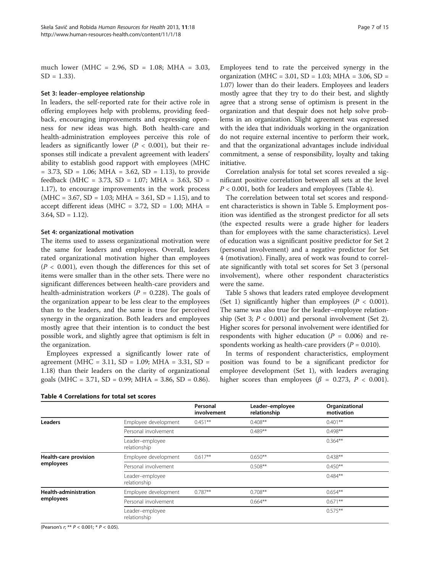much lower (MHC = 2.96, SD = 1.08; MHA = 3.03,  $SD = 1.33$ ).

# Set 3: leader–employee relationship

In leaders, the self-reported rate for their active role in offering employees help with problems, providing feedback, encouraging improvements and expressing openness for new ideas was high. Both health-care and health-administration employees perceive this role of leaders as significantly lower ( $P < 0.001$ ), but their responses still indicate a prevalent agreement with leaders' ability to establish good rapport with employees (MHC  $= 3.73$ , SD  $= 1.06$ ; MHA  $= 3.62$ , SD  $= 1.13$ ), to provide feedback (MHC = 3.73, SD = 1.07; MHA = 3.63, SD = 1.17), to encourage improvements in the work process  $(MHC = 3.67, SD = 1.03; MHA = 3.61, SD = 1.15)$ , and to accept different ideas (MHC = 3.72, SD = 1.00; MHA =  $3.64$ , SD = 1.12).

#### Set 4: organizational motivation

The items used to assess organizational motivation were the same for leaders and employees. Overall, leaders rated organizational motivation higher than employees  $(P < 0.001)$ , even though the differences for this set of items were smaller than in the other sets. There were no significant differences between health-care providers and health-administration workers ( $P = 0.228$ ). The goals of the organization appear to be less clear to the employees than to the leaders, and the same is true for perceived synergy in the organization. Both leaders and employees mostly agree that their intention is to conduct the best possible work, and slightly agree that optimism is felt in the organization.

Employees expressed a significantly lower rate of agreement (MHC = 3.11, SD = 1.09; MHA = 3.31, SD = 1.18) than their leaders on the clarity of organizational goals (MHC = 3.71, SD = 0.99; MHA = 3.86, SD = 0.86).

Employees tend to rate the perceived synergy in the organization (MHC = 3.01, SD = 1.03; MHA = 3.06, SD = 1.07) lower than do their leaders. Employees and leaders mostly agree that they try to do their best, and slightly agree that a strong sense of optimism is present in the organization and that despair does not help solve problems in an organization. Slight agreement was expressed with the idea that individuals working in the organization do not require external incentive to perform their work, and that the organizational advantages include individual commitment, a sense of responsibility, loyalty and taking initiative.

Correlation analysis for total set scores revealed a significant positive correlation between all sets at the level  $P < 0.001$ , both for leaders and employees (Table 4).

The correlation between total set scores and respondent characteristics is shown in Table [5.](#page-7-0) Employment position was identified as the strongest predictor for all sets (the expected results were a grade higher for leaders than for employees with the same characteristics). Level of education was a significant positive predictor for Set 2 (personal involvement) and a negative predictor for Set 4 (motivation). Finally, area of work was found to correlate significantly with total set scores for Set 3 (personal involvement), where other respondent characteristics were the same.

Table [5](#page-7-0) shows that leaders rated employee development (Set 1) significantly higher than employees ( $P < 0.001$ ). The same was also true for the leader–employee relationship (Set 3;  $P < 0.001$ ) and personal involvement (Set 2). Higher scores for personal involvement were identified for respondents with higher education ( $P = 0.006$ ) and respondents working as health-care providers ( $P = 0.010$ ).

In terms of respondent characteristics, employment position was found to be a significant predictor for employee development (Set 1), with leaders averaging higher scores than employees ( $\beta$  = 0.273, P < 0.001).

|                              |                                 | Personal<br>involvement | Leader-employee<br>relationship | Organizational<br>motivation |
|------------------------------|---------------------------------|-------------------------|---------------------------------|------------------------------|
| <b>Leaders</b>               | Employee development            | $0.451**$               | $0.408**$                       | $0.401**$                    |
|                              | Personal involvement            |                         | $0.489**$                       | $0.498**$                    |
|                              | Leader-employee<br>relationship |                         |                                 | $0.364**$                    |
| Health-care provision        | Employee development            | $0.617**$               | $0.650**$                       | $0.438**$                    |
| employees                    | Personal involvement            |                         | $0.508**$                       | $0.450**$                    |
|                              | Leader-employee<br>relationship |                         |                                 | $0.484**$                    |
| <b>Health-administration</b> | Employee development            | $0.787**$               | $0.708**$                       | $0.654**$                    |
| employees                    | Personal involvement            |                         | $0.664**$                       | $0.671**$                    |
|                              | Leader-employee<br>relationship |                         |                                 | $0.575**$                    |

Table 4 Correlations for total set scores

(Pearson's  $r$ ; \*\*  $P < 0.001$ ; \*  $P < 0.05$ ).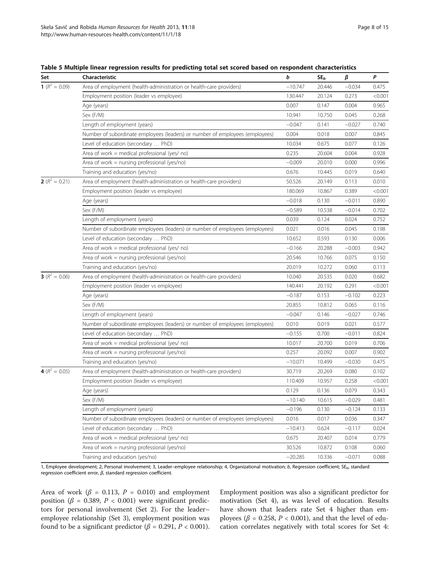| Set                       | Characteristic                                                               | b         | SE <sub>b</sub> | β        | P       |
|---------------------------|------------------------------------------------------------------------------|-----------|-----------------|----------|---------|
| 1 ( $R^2 = 0.09$ )        | Area of employment (health-administration or health-care providers)          | $-10.747$ | 20.446          | $-0.034$ | 0.475   |
|                           | Employment position (leader vs employee)                                     | 130.447   | 20.124          | 0.273    | < 0.001 |
|                           | Age (years)                                                                  | 0.007     | 0.147           | 0.004    | 0.965   |
|                           | Sex (F/M)                                                                    | 10.941    | 10.750          | 0.045    | 0.268   |
|                           | Length of employment (years)                                                 | $-0.047$  | 0.141           | $-0.027$ | 0.740   |
|                           | Number of subordinate employees (leaders) or number of employees (employees) | 0.004     | 0.018           | 0.007    | 0.845   |
|                           | Level of education (secondary  PhD)                                          | 10.034    | 0.675           | 0.077    | 0.126   |
|                           | Area of work = medical professional (yes/ no)                                | 0.235     | 20.604          | 0.004    | 0.928   |
|                           | Area of work = nursing professional (yes/no)                                 | $-0.009$  | 20.010          | 0.000    | 0.996   |
|                           | Training and education (yes/no)                                              | 0.676     | 10.445          | 0.019    | 0.640   |
| <b>2</b> ( $R^2 = 0.21$ ) | Area of employment (health-administration or health-care providers)          | 50.526    | 20.149          | 0.113    | 0.010   |
|                           | Employment position (leader vs employee)                                     | 180.069   | 10.867          | 0.389    | < 0.001 |
|                           | Age (years)                                                                  | $-0.018$  | 0.130           | $-0.011$ | 0.890   |
|                           | Sex (F/M)                                                                    | $-0.589$  | 10.538          | $-0.014$ | 0.702   |
|                           | Length of employment (years)                                                 | 0.039     | 0.124           | 0.024    | 0.752   |
|                           | Number of subordinate employees (leaders) or number of employees (employees) | 0.021     | 0.016           | 0.045    | 0.198   |
|                           | Level of education (secondary  PhD)                                          | 10.652    | 0.593           | 0.130    | 0.006   |
|                           | Area of work = medical professional (yes/ no)                                | $-0.166$  | 20.288          | $-0.003$ | 0.942   |
|                           | Area of work = nursing professional (yes/no)                                 | 20.546    | 10.766          | 0.075    | 0.150   |
|                           | Training and education (yes/no)                                              | 20.019    | 10.272          | 0.060    | 0.113   |
| 3 ( $R^2 = 0.06$ )        | Area of employment (health-administration or health-care providers)          | 10.040    | 20.535          | 0.020    | 0.682   |
|                           | Employment position (leader vs employee)                                     | 140.441   | 20.192          | 0.291    | < 0.001 |
|                           | Age (years)                                                                  | $-0.187$  | 0.153           | $-0.102$ | 0.223   |
|                           | Sex (F/M)                                                                    | 20.855    | 10.812          | 0.065    | 0.116   |
|                           | Length of employment (years)                                                 | $-0.047$  | 0.146           | $-0.027$ | 0.746   |
|                           | Number of subordinate employees (leaders) or number of employees (employees) | 0.010     | 0.019           | 0.021    | 0.577   |
|                           | Level of education (secondary  PhD)                                          | $-0.155$  | 0.700           | $-0.011$ | 0.824   |
|                           | Area of work = medical professional (yes/ no)                                | 10.017    | 20.700          | 0.019    | 0.706   |
|                           | Area of work = nursing professional (yes/no)                                 | 0.257     | 20.092          | 0.007    | 0.902   |
|                           | Training and education (yes/no)                                              | $-10.071$ | 10.499          | $-0.030$ | 0.475   |
| 4 ( $R^2 = 0.05$ )        | Area of employment (health-administration or health-care providers)          | 30.719    | 20.269          | 0.080    | 0.102   |
|                           | Employment position (leader vs employee)                                     | 110.409   | 10.957          | 0.258    | < 0.001 |
|                           | Age (years)                                                                  | 0.129     | 0.136           | 0.079    | 0.343   |
|                           | Sex (F/M)                                                                    | $-10.140$ | 10.615          | $-0.029$ | 0.481   |
|                           | Length of employment (years)                                                 | $-0.196$  | 0.130           | $-0.124$ | 0.133   |
|                           | Number of subordinate employees (leaders) or number of employees (employees) | 0.016     | 0.017           | 0.036    | 0.347   |
|                           | Level of education (secondary  PhD)                                          | $-10.413$ | 0.624           | $-0.117$ | 0.024   |
|                           | Area of work = medical professional (yes/ no)                                | 0.675     | 20.407          | 0.014    | 0.779   |
|                           | Area of work = nursing professional (yes/no)                                 | 30.526    | 10.872          | 0.108    | 0.060   |
|                           | Training and education (yes/no)                                              | $-20.285$ | 10.336          | $-0.071$ | 0.088   |

<span id="page-7-0"></span>Table 5 Multiple linear regression results for predicting total set scored based on respondent characteristics

1, Employee development; 2, Personal involvement; 3, Leader–employee relationship; 4, Organizational motivation; b, Regression coefficient; SE<sub>b</sub>, standard regression coefficient error, β, standard regression coefficient.

Area of work ( $\beta$  = 0.113, P = 0.010) and employment position ( $\beta$  = 0.389,  $P < 0.001$ ) were significant predictors for personal involvement (Set 2). For the leader– employee relationship (Set 3), employment position was found to be a significant predictor ( $\beta$  = 0.291, P < 0.001).

Employment position was also a significant predictor for motivation (Set 4), as was level of education. Results have shown that leaders rate Set 4 higher than employees ( $\beta$  = 0.258, P < 0.001), and that the level of education correlates negatively with total scores for Set 4: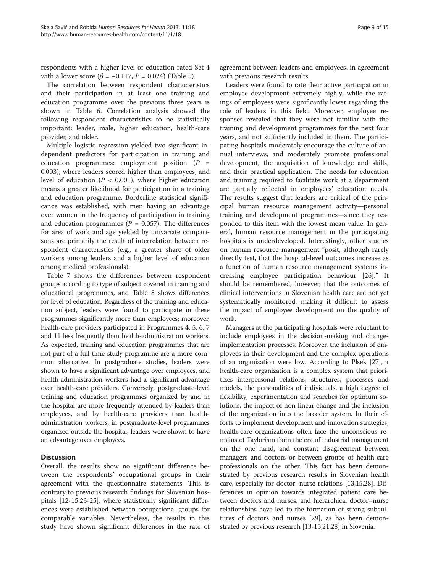respondents with a higher level of education rated Set 4 with a lower score (β = -0.117,  $P = 0.024$ ) (Table [5\)](#page-7-0).

The correlation between respondent characteristics and their participation in at least one training and education programme over the previous three years is shown in Table [6.](#page-9-0) Correlation analysis showed the following respondent characteristics to be statistically important: leader, male, higher education, health-care provider, and older.

Multiple logistic regression yielded two significant independent predictors for participation in training and education programmes: employment position  $(P =$ 0.003), where leaders scored higher than employees, and level of education ( $P < 0.001$ ), where higher education means a greater likelihood for participation in a training and education programme. Borderline statistical significance was established, with men having an advantage over women in the frequency of participation in training and education programmes ( $P = 0.057$ ). The differences for area of work and age yielded by univariate comparisons are primarily the result of interrelation between respondent characteristics (e.g., a greater share of older workers among leaders and a higher level of education among medical professionals).

Table [7](#page-10-0) shows the differences between respondent groups according to type of subject covered in training and educational programmes, and Table [8](#page-10-0) shows differences for level of education. Regardless of the training and education subject, leaders were found to participate in these programmes significantly more than employees; moreover, health-care providers participated in Programmes 4, 5, 6, 7 and 11 less frequently than health-administration workers. As expected, training and education programmes that are not part of a full-time study programme are a more common alternative. In postgraduate studies, leaders were shown to have a significant advantage over employees, and health-administration workers had a significant advantage over health-care providers. Conversely, postgraduate-level training and education programmes organized by and in the hospital are more frequently attended by leaders than employees, and by health-care providers than healthadministration workers; in postgraduate-level programmes organized outside the hospital, leaders were shown to have an advantage over employees.

# **Discussion**

Overall, the results show no significant difference between the respondents' occupational groups in their agreement with the questionnaire statements. This is contrary to previous research findings for Slovenian hospitals [\[12](#page-13-0)-[15,23](#page-13-0)-[25\]](#page-13-0), where statistically significant differences were established between occupational groups for comparable variables. Nevertheless, the results in this study have shown significant differences in the rate of

agreement between leaders and employees, in agreement with previous research results.

Leaders were found to rate their active participation in employee development extremely highly, while the ratings of employees were significantly lower regarding the role of leaders in this field. Moreover, employee responses revealed that they were not familiar with the training and development programmes for the next four years, and not sufficiently included in them. The participating hospitals moderately encourage the culture of annual interviews, and moderately promote professional development, the acquisition of knowledge and skills, and their practical application. The needs for education and training required to facilitate work at a department are partially reflected in employees' education needs. The results suggest that leaders are critical of the principal human resource management activity—personal training and development programmes—since they responded to this item with the lowest mean value. In general, human resource management in the participating hospitals is underdeveloped. Interestingly, other studies on human resource management "posit, although rarely directly test, that the hospital-level outcomes increase as a function of human resource management systems increasing employee participation behaviour [\[26\]](#page-13-0)." It should be remembered, however, that the outcomes of clinical interventions in Slovenian health care are not yet systematically monitored, making it difficult to assess the impact of employee development on the quality of work.

Managers at the participating hospitals were reluctant to include employees in the decision-making and changeimplementation processes. Moreover, the inclusion of employees in their development and the complex operations of an organization were low. According to Plsek [\[27\]](#page-13-0), a health-care organization is a complex system that prioritizes interpersonal relations, structures, processes and models, the personalities of individuals, a high degree of flexibility, experimentation and searches for optimum solutions, the impact of non-linear change and the inclusion of the organization into the broader system. In their efforts to implement development and innovation strategies, health-care organizations often face the unconscious remains of Taylorism from the era of industrial management on the one hand, and constant disagreement between managers and doctors or between groups of health-care professionals on the other. This fact has been demonstrated by previous research results in Slovenian health care, especially for doctor–nurse relations [\[13,15,28](#page-13-0)]. Differences in opinion towards integrated patient care between doctors and nurses, and hierarchical doctor–nurse relationships have led to the formation of strong subcultures of doctors and nurses [\[29](#page-14-0)], as has been demonstrated by previous research [\[13-15,21,28](#page-13-0)] in Slovenia.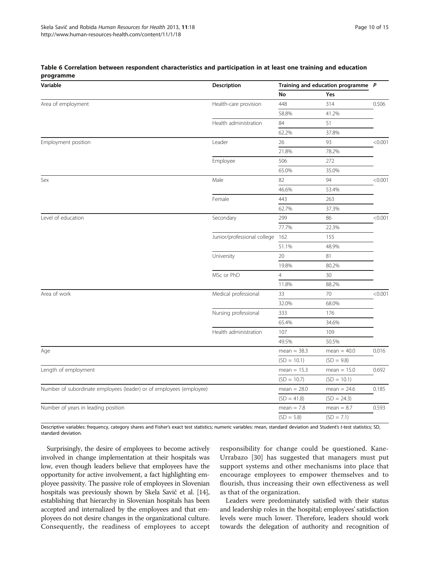| Variable                                                            | Description                 | Training and education programme P |               |         |  |
|---------------------------------------------------------------------|-----------------------------|------------------------------------|---------------|---------|--|
|                                                                     |                             | No                                 | Yes           |         |  |
| Area of employment                                                  | Health-care provision       | 448                                | 314           | 0.506   |  |
|                                                                     |                             | 58.8%                              | 41.2%         |         |  |
|                                                                     | Health administration       | 84                                 | 51            |         |  |
|                                                                     |                             | 62.2%                              | 37.8%         |         |  |
| Employment position                                                 | Leader                      | 26                                 | 93            | < 0.001 |  |
|                                                                     |                             | 21.8%                              | 78.2%         |         |  |
|                                                                     | Employee                    | 506                                | 272           |         |  |
|                                                                     |                             | 65.0%                              | 35.0%         |         |  |
| Sex                                                                 | Male                        | 82                                 | 94            | < 0.001 |  |
|                                                                     |                             | 46.6%                              | 53.4%         |         |  |
|                                                                     | Female                      | 443                                | 263           |         |  |
|                                                                     |                             | 62.7%                              | 37.3%         |         |  |
| Level of education                                                  | Secondary                   | 299                                | 86            | < 0.001 |  |
|                                                                     |                             | 77.7%                              | 22.3%         |         |  |
|                                                                     | Junior/professional college | 162                                | 155           |         |  |
|                                                                     |                             | 51.1%                              | 48.9%         |         |  |
|                                                                     | University                  | 20                                 | 81            |         |  |
|                                                                     |                             | 19.8%                              | 80.2%         |         |  |
|                                                                     | MSc or PhD                  | $\overline{4}$                     | 30            |         |  |
|                                                                     |                             | 11.8%                              | 88.2%         |         |  |
| Area of work                                                        | Medical professional        | 33                                 | 70            | < 0.001 |  |
|                                                                     |                             | 32.0%                              | 68.0%         |         |  |
|                                                                     | Nursing professional        | 333                                | 176           |         |  |
|                                                                     |                             | 65.4%                              | 34.6%         |         |  |
|                                                                     | Health administration       | 107                                | 109           |         |  |
|                                                                     |                             | 49.5%                              | 50.5%         |         |  |
| Age                                                                 |                             | $mean = 38.3$                      | $mean = 40.0$ | 0.016   |  |
|                                                                     |                             | $(SD = 10.1)$                      | $(SD = 9.8)$  |         |  |
| Length of employment                                                |                             | $mean = 15.3$                      | $mean = 15.0$ | 0.692   |  |
|                                                                     |                             | $(SD = 10.7)$                      | $(SD = 10.1)$ |         |  |
| Number of subordinate employees (leader) or of employees (employee) |                             | $mean = 28.0$                      | $mean = 24.6$ | 0.185   |  |
|                                                                     |                             | $(SD = 41.8)$                      | $(SD = 24.3)$ |         |  |
| Number of years in leading position                                 |                             | $mean = 7.8$                       | $mean = 8.7$  | 0.593   |  |
|                                                                     |                             | $(SD = 5.8)$                       | $(SD = 7.1)$  |         |  |

# <span id="page-9-0"></span>Table 6 Correlation between respondent characteristics and participation in at least one training and education programme

Descriptive variables: frequency, category shares and Fisher's exact test statistics; numeric variables: mean, standard deviation and Student's t-test statistics; SD, standard deviation.

Surprisingly, the desire of employees to become actively involved in change implementation at their hospitals was low, even though leaders believe that employees have the opportunity for active involvement, a fact highlighting employee passivity. The passive role of employees in Slovenian hospitals was previously shown by Skela Savič et al. [[14](#page-13-0)], establishing that hierarchy in Slovenian hospitals has been accepted and internalized by the employees and that employees do not desire changes in the organizational culture. Consequently, the readiness of employees to accept responsibility for change could be questioned. Kane-Urrabazo [\[30](#page-14-0)] has suggested that managers must put support systems and other mechanisms into place that encourage employees to empower themselves and to flourish, thus increasing their own effectiveness as well as that of the organization.

Leaders were predominately satisfied with their status and leadership roles in the hospital; employees' satisfaction levels were much lower. Therefore, leaders should work towards the delegation of authority and recognition of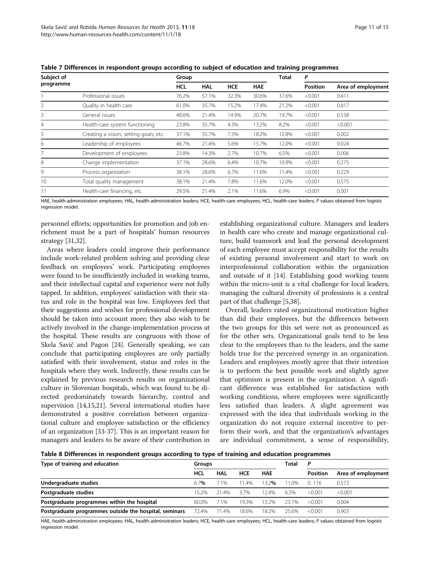| Subject of |                                        | Group |            |            |            | <b>Total</b> | Ρ               |                    |  |  |
|------------|----------------------------------------|-------|------------|------------|------------|--------------|-----------------|--------------------|--|--|
| programme  |                                        | HCL   | <b>HAL</b> | <b>HCE</b> | <b>HAE</b> |              | <b>Position</b> | Area of employment |  |  |
|            | Professional issues                    | 76.2% | 57.1%      | 32.3%      | 30.6%      | 37.6%        | < 0.001         | 0.411              |  |  |
| 2          | Quality in health care                 | 61.0% | 35.7%      | 15.2%      | 17.4%      | 21.2%        | < 0.001         | 0.817              |  |  |
| 3          | General issues                         | 48.6% | 21.4%      | 14.9%      | 20.7%      | 19.7%        | < 0.001         | 0.538              |  |  |
| 4          | Health-care system functioning         | 23.8% | 35.7%      | 4.3%       | 13.2%      | 8.2%         | < 0.001         | < 0.001            |  |  |
| 5          | Creating a vision, setting goals, etc. | 37.1% | 35.7%      | 7.5%       | 18.2%      | 12.8%        | < 0.001         | 0.002              |  |  |
| 6          | Leadership of employees                | 46.7% | 21.4%      | 5.6%       | 15.7%      | 12.0%        | < 0.001         | 0.024              |  |  |
|            | Development of employees               | 23.8% | 14.3%      | 2.7%       | 10.7%      | 6.5%         | < 0.001         | 0.006              |  |  |
| 8          | Change implementation                  | 37.1% | 28.6%      | 6.4%       | 10.7%      | 10.9%        | < 0.001         | 0.275              |  |  |
| 9          | Process organization                   | 38.1% | 28.6%      | 6.7%       | 11.6%      | 11.4%        | < 0.001         | 0.229              |  |  |
| 10         | Total quality management               | 38.1% | 21.4%      | 7.8%       | 11.6%      | 12.0%        | < 0.001         | 0.575              |  |  |
| 11         | Health-care financing, etc.            | 29.5% | 21.4%      | 2.1%       | 11.6%      | 6.9%         | < 0.001         | 0.001              |  |  |

<span id="page-10-0"></span>Table 7 Differences in respondent groups according to subject of education and training programmes

HAE, health-administration employees; HAL, health-administration leaders; HCE, health-care employees; HCL, health-care leaders; P values obtained from logistic regression model.

personnel efforts; opportunities for promotion and job enrichment must be a part of hospitals' human resources strategy [\[31,32\]](#page-14-0).

Areas where leaders could improve their performance include work-related problem solving and providing clear feedback on employees' work. Participating employees were found to be insufficiently included in working teams, and their intellectual capital and experience were not fully tapped. In addition, employees' satisfaction with their status and role in the hospital was low. Employees feel that their suggestions and wishes for professional development should be taken into account more; they also wish to be actively involved in the change-implementation process at the hospital. These results are congruous with those of Skela Savič and Pagon [[24\]](#page-13-0). Generally speaking, we can conclude that participating employees are only partially satisfied with their involvement, status and roles in the hospitals where they work. Indirectly, these results can be explained by previous research results on organizational culture in Slovenian hospitals, which was found to be directed predominately towards hierarchy, control and supervision [[14,15,21\]](#page-13-0). Several international studies have demonstrated a positive correlation between organizational culture and employee satisfaction or the efficiency of an organization [\[33-37\]](#page-14-0). This is an important reason for managers and leaders to be aware of their contribution in

establishing organizational culture. Managers and leaders in health care who create and manage organizational culture, build teamwork and lead the personal development of each employee must accept responsibility for the results of existing personal involvement and start to work on interprofessional collaboration within the organization and outside of it [[14](#page-13-0)]. Establishing good working teams within the micro-unit is a vital challenge for local leaders; managing the cultural diversity of professions is a central part of that challenge [\[5](#page-13-0)[,38\]](#page-14-0).

Overall, leaders rated organizational motivation higher than did their employees, but the differences between the two groups for this set were not as pronounced as for the other sets. Organizational goals tend to be less clear to the employees than to the leaders, and the same holds true for the perceived synergy in an organization. Leaders and employees mostly agree that their intention is to perform the best possible work and slightly agree that optimism is present in the organization. A significant difference was established for satisfaction with working conditions, where employees were significantly less satisfied than leaders. A slight agreement was expressed with the idea that individuals working in the organization do not require external incentive to perform their work, and that the organization's advantages are individual commitment, a sense of responsibility,

Table 8 Differences in respondent groups according to type of training and education programmes

| Type of training and education                         |       | Groups |       |            |       | P               |                    |  |  |
|--------------------------------------------------------|-------|--------|-------|------------|-------|-----------------|--------------------|--|--|
|                                                        | HCL   | HAL    | HCE   | <b>HAE</b> |       | <b>Position</b> | Area of employment |  |  |
| Undergraduate studies                                  | 6.7%  | 7 1%   | 11.4% | 13.2%      | 11.0% | 0 116           | 0.572              |  |  |
| Postgraduate studies                                   | 15.2% | 21.4%  | 3.7%  | 124%       | 6.5%  | < 0.001         | < 0.001            |  |  |
| Postgraduate programmes within the hospital            | 60.0% | 7.1%   | 19.3% | 13.2%      | 23.1% | < 0.001         | 0.004              |  |  |
| Postgraduate programmes outside the hospital, seminars | 72.4% | 71.4%  | 18.6% | 18.2%      | 25.6% | < 0.001         | 0.903              |  |  |

HAE, health-administration employees; HAL, health-administration leaders; HCE, health-care employees; HCL, health-care leaders; P values obtained from logistic regression model.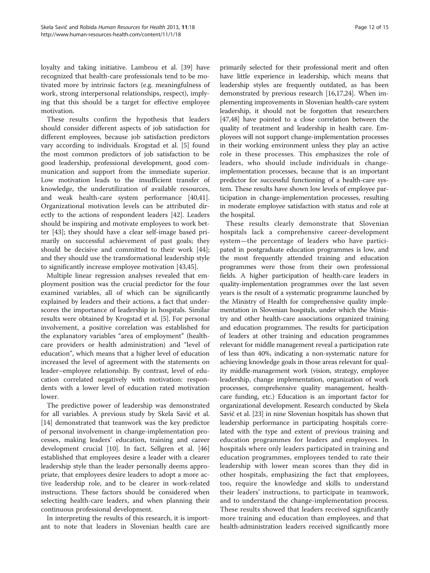loyalty and taking initiative. Lambrou et al. [[39\]](#page-14-0) have recognized that health-care professionals tend to be motivated more by intrinsic factors (e.g. meaningfulness of work, strong interpersonal relationships, respect), implying that this should be a target for effective employee motivation.

These results confirm the hypothesis that leaders should consider different aspects of job satisfaction for different employees, because job satisfaction predictors vary according to individuals. Krogstad et al. [\[5](#page-13-0)] found the most common predictors of job satisfaction to be good leadership, professional development, good communication and support from the immediate superior. Low motivation leads to the insufficient transfer of knowledge, the underutilization of available resources, and weak health-care system performance [\[40,41](#page-14-0)]. Organizational motivation levels can be attributed directly to the actions of respondent leaders [[42\]](#page-14-0). Leaders should be inspiring and motivate employees to work better [\[43](#page-14-0)]; they should have a clear self-image based primarily on successful achievement of past goals; they should be decisive and committed to their work [\[44](#page-14-0)]; and they should use the transformational leadership style to significantly increase employee motivation [[43](#page-14-0),[45](#page-14-0)].

Multiple linear regression analyses revealed that employment position was the crucial predictor for the four examined variables, all of which can be significantly explained by leaders and their actions, a fact that underscores the importance of leadership in hospitals. Similar results were obtained by Krogstad et al. [[5\]](#page-13-0). For personal involvement, a positive correlation was established for the explanatory variables "area of employment" (healthcare providers or health administration) and "level of education", which means that a higher level of education increased the level of agreement with the statements on leader–employee relationship. By contrast, level of education correlated negatively with motivation: respondents with a lower level of education rated motivation lower.

The predictive power of leadership was demonstrated for all variables. A previous study by Skela Savič et al. [[14\]](#page-13-0) demonstrated that teamwork was the key predictor of personal involvement in change-implementation processes, making leaders' education, training and career development crucial [[10\]](#page-13-0). In fact, Sellgren et al. [[46](#page-14-0)] established that employees desire a leader with a clearer leadership style than the leader personally deems appropriate, that employees desire leaders to adopt a more active leadership role, and to be clearer in work-related instructions. These factors should be considered when selecting health-care leaders, and when planning their continuous professional development.

In interpreting the results of this research, it is important to note that leaders in Slovenian health care are

primarily selected for their professional merit and often have little experience in leadership, which means that leadership styles are frequently outdated, as has been demonstrated by previous research [\[16,17](#page-13-0),[24](#page-13-0)]. When implementing improvements in Slovenian health-care system leadership, it should not be forgotten that researchers [[47,48](#page-14-0)] have pointed to a close correlation between the quality of treatment and leadership in health care. Employees will not support change-implementation processes in their working environment unless they play an active role in these processes. This emphasizes the role of leaders, who should include individuals in changeimplementation processes, because that is an important predictor for successful functioning of a health-care system. These results have shown low levels of employee participation in change-implementation processes, resulting in moderate employee satisfaction with status and role at the hospital.

These results clearly demonstrate that Slovenian hospitals lack a comprehensive career-development system—the percentage of leaders who have participated in postgraduate education programmes is low, and the most frequently attended training and education programmes were those from their own professional fields. A higher participation of health-care leaders in quality-implementation programmes over the last seven years is the result of a systematic programme launched by the Ministry of Health for comprehensive quality implementation in Slovenian hospitals, under which the Ministry and other health-care associations organized training and education programmes. The results for participation of leaders at other training and education programmes relevant for middle management reveal a participation rate of less than 40%, indicating a non-systematic nature for achieving knowledge goals in those areas relevant for quality middle-management work (vision, strategy, employee leadership, change implementation, organization of work processes, comprehensive quality management, healthcare funding, etc.) Education is an important factor for organizational development. Research conducted by Skela Savič et al. [[23](#page-13-0)] in nine Slovenian hospitals has shown that leadership performance in participating hospitals correlated with the type and extent of previous training and education programmes for leaders and employees. In hospitals where only leaders participated in training and education programmes, employees tended to rate their leadership with lower mean scores than they did in other hospitals, emphasizing the fact that employees, too, require the knowledge and skills to understand their leaders' instructions, to participate in teamwork, and to understand the change-implementation process. These results showed that leaders received significantly more training and education than employees, and that health-administration leaders received significantly more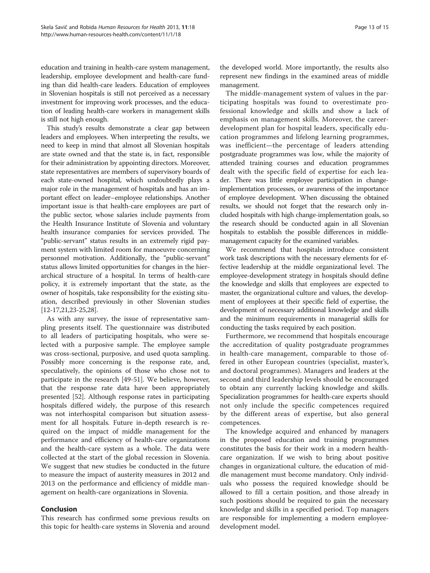education and training in health-care system management, leadership, employee development and health-care funding than did health-care leaders. Education of employees in Slovenian hospitals is still not perceived as a necessary investment for improving work processes, and the education of leading health-care workers in management skills is still not high enough.

This study's results demonstrate a clear gap between leaders and employees. When interpreting the results, we need to keep in mind that almost all Slovenian hospitals are state owned and that the state is, in fact, responsible for their administration by appointing directors. Moreover, state representatives are members of supervisory boards of each state-owned hospital, which undoubtedly plays a major role in the management of hospitals and has an important effect on leader–employee relationships. Another important issue is that health-care employees are part of the public sector, whose salaries include payments from the Health Insurance Institute of Slovenia and voluntary health insurance companies for services provided. The "public-servant" status results in an extremely rigid payment system with limited room for manoeuvre concerning personnel motivation. Additionally, the "public-servant" status allows limited opportunities for changes in the hierarchical structure of a hospital. In terms of health-care policy, it is extremely important that the state, as the owner of hospitals, take responsibility for the existing situation, described previously in other Slovenian studies [[12](#page-13-0)-[17](#page-13-0),[21,23-25,28\]](#page-13-0).

As with any survey, the issue of representative sampling presents itself. The questionnaire was distributed to all leaders of participating hospitals, who were selected with a purposive sample. The employee sample was cross-sectional, purposive, and used quota sampling. Possibly more concerning is the response rate, and, speculatively, the opinions of those who chose not to participate in the research [[49](#page-14-0)-[51\]](#page-14-0). We believe, however, that the response rate data have been appropriately presented [\[52](#page-14-0)]. Although response rates in participating hospitals differed widely, the purpose of this research was not interhospital comparison but situation assessment for all hospitals. Future in-depth research is required on the impact of middle management for the performance and efficiency of health-care organizations and the health-care system as a whole. The data were collected at the start of the global recession in Slovenia. We suggest that new studies be conducted in the future to measure the impact of austerity measures in 2012 and 2013 on the performance and efficiency of middle management on health-care organizations in Slovenia.

# Conclusion

This research has confirmed some previous results on this topic for health-care systems in Slovenia and around the developed world. More importantly, the results also represent new findings in the examined areas of middle management.

The middle-management system of values in the participating hospitals was found to overestimate professional knowledge and skills and show a lack of emphasis on management skills. Moreover, the careerdevelopment plan for hospital leaders, specifically education programmes and lifelong learning programmes, was inefficient—the percentage of leaders attending postgraduate programmes was low, while the majority of attended training courses and education programmes dealt with the specific field of expertise for each leader. There was little employee participation in changeimplementation processes, or awareness of the importance of employee development. When discussing the obtained results, we should not forget that the research only included hospitals with high change-implementation goals, so the research should be conducted again in all Slovenian hospitals to establish the possible differences in middlemanagement capacity for the examined variables.

We recommend that hospitals introduce consistent work task descriptions with the necessary elements for effective leadership at the middle organizational level. The employee-development strategy in hospitals should define the knowledge and skills that employees are expected to master, the organizational culture and values, the development of employees at their specific field of expertise, the development of necessary additional knowledge and skills and the minimum requirements in managerial skills for conducting the tasks required by each position.

Furthermore, we recommend that hospitals encourage the accreditation of quality postgraduate programmes in health-care management, comparable to those offered in other European countries (specialist, master's, and doctoral programmes). Managers and leaders at the second and third leadership levels should be encouraged to obtain any currently lacking knowledge and skills. Specialization programmes for health-care experts should not only include the specific competences required by the different areas of expertise, but also general competences.

The knowledge acquired and enhanced by managers in the proposed education and training programmes constitutes the basis for their work in a modern healthcare organization. If we wish to bring about positive changes in organizational culture, the education of middle management must become mandatory. Only individuals who possess the required knowledge should be allowed to fill a certain position, and those already in such positions should be required to gain the necessary knowledge and skills in a specified period. Top managers are responsible for implementing a modern employeedevelopment model.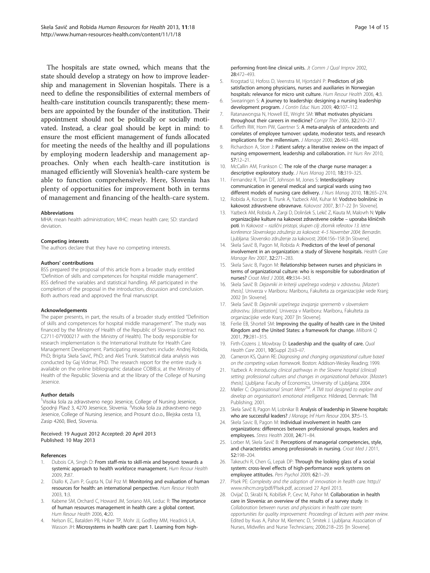<span id="page-13-0"></span>The hospitals are state owned, which means that the state should develop a strategy on how to improve leadership and management in Slovenian hospitals. There is a need to define the responsibilities of external members of health-care institution councils transparently; these members are appointed by the founder of the institution. Their appointment should not be politically or socially motivated. Instead, a clear goal should be kept in mind: to ensure the most efficient management of funds allocated for meeting the needs of the healthy and ill populations by employing modern leadership and management approaches. Only when each health-care institution is managed efficiently will Slovenia's health-care system be able to function comprehensively. Here, Slovenia has plenty of opportunities for improvement both in terms of management and financing of the health-care system.

#### Abbreviations

MHA: mean health administration; MHC: mean health care; SD: standard deviation.

#### Competing interests

The authors declare that they have no competing interests.

#### Authors' contributions

BSS prepared the proposal of this article from a broader study entitled "Definition of skills and competences for hospital middle management". BSS defined the variables and statistical handling. AR participated in the completion of the proposal in the introduction, discussion and conclusion. Both authors read and approved the final manuscript.

#### Acknowledgements

The paper presents, in part, the results of a broader study entitled "Definition of skills and competences for hospital middle management". The study was financed by the Ministry of Health of the Republic of Slovenia (contract no. C2711-07Y000217 with the Ministry of Health). The body responsible for research implementation is the International Institute for Health Care Management Development. Participating researchers include: Andrej Robida, PhD; Brigita Skela Savič, PhD; and Aleš Trunk. Statistical data analysis was conducted by Gaj Vidmar, PhD. The research report for the entire study is available on the online bibliographic database COBIB.si, at the Ministry of Health of the Republic Slovenia and at the library of the College of Nursing Jesenice.

#### Author details

<sup>1</sup>Visoka šola za zdravstveno nego Jesenice, College of Nursing Jesenice,<br>Spodnji Plavž 3, 4270 Jesenice, Slovenia. <sup>2</sup>Visoka šola za zdravstveno nego Jesenice, College of Nursing Jesenice, and Prosunt d.o.o., Blejska cesta 13, Zasip 4260, Bled, Slovenia.

#### Received: 19 August 2012 Accepted: 20 April 2013 Published: 10 May 2013

#### References

- 1. Dubois CA, Singh D: From staff-mix to skill-mix and beyond: towards a systemic approach to health workforce management. Hum Resour Health 2009, 7:87.
- 2. Diallo K, Zurn P, Gupta N, Dal Poz M: Monitoring and evaluation of human resources for health: an international perspective. Hum Resour Health 2003, 1:3.
- 3. Kabene SM, Orchard C, Howard JM, Soriano MA, Leduc R: The importance of human resources management in health care: a global context. Hum Resour Health 2006, 4:20.
- 4. Nelson EC, Batalden PB, Huber TP, Mohr JJ, Godfrey MM, Headrick LA, Wasson JH: Microsystems in health care: part 1. Learning from high-

performing front-line clinical units. Jt Comm J Qual Improv 2002, 28:472–493.

- 5. Krogstad U, Hofoss D, Veenstra M, Hjortdahl P: Predictors of job satisfaction among physicians, nurses and auxiliaries in Norwegian hospitals: relevance for micro unit culture. Hum Resour Health 2006, 4:3.
- Swearingen S: A journey to leadership: designing a nursing leadership development program. J Contin Educ Nurs 2009, 40:107–112.
- 7. Ratanawongsa N, Howell EE, Wright SM: What motivates physicians throughout their careers in medicine? Compr Ther 2006, 32:210–217.
- 8. Griffeth RW, Hom PW, Gaertner S: A meta-analysis of antecedents and correlates of employee turnover: update, moderator tests, and research implications for the millennium. J Manage 2000, 26:463–488.
- 9. Richardson A, Storr J: Patient safety: a literative review on the impact of nursing empowerment, leadership and collaboration. Int Nurs Rev 2010, 57:12–21.
- 10. McCallin AM, Frankson C: The role of the charge nurse manager: a descriptive exploratory study. J Nurs Manag 2010, 18:319-325.
- 11. Fernandez R, Tran DT, Johnson M, Jones S: Interdisciplinary communication in general medical and surgical wards using two different models of nursing care delivery. J Nurs Manag 2010, 18:265-274.
- 12. Robida A, Kociper B, Trunk A, Yazbeck AM, Kuhar M: Vodstvo bolnišnic in kakovost zdravstvene obravnave. Kakovost 2007, 3:17-22 [In Slovene].
- 13. Yazbeck AM, Robida A, Zargi D, Dolinšek S, Lekič Z, Kiauta M, Malovrh N; Vpliv organizacijske kulture na kakovost zdravstvene oskrbe – uporaba kliničnih poti. In Kakovost – različni pristopi, skupen cilj: zbornik referatov 13. letne konference Slovenskega združenja za kakovost: 4–5 November 2004; Bernardin. Ljubljana: Slovensko združenje za kakovost; 2004:156–158 [In Slovene].
- 14. Skela Savič B, Pagon M, Robida A: Predictors of the level of personal involvement in an organization: a study of Slovene hospitals. Health Care Manage Rev 2007, 32:271–283.
- 15. Skela Savic B, Pagon M: Relationship between nurses and physicians in terms of organizational culture: who is responsible for subordination of nurses? Croat Med J 2008, 49:334–343.
- 16. Skela Savič B: Dejavniki in kriteriji uspešnega vodenja v zdravstvu. [Master's thesis]. Univerza v Mariboru: Mariboru, Fakulteta za organizacijske vede Kranj; 2002 [In Slovene].
- 17. Skela Savič B: Dejavniki uspešnega izvajanja sprememb v slovenskem zdravstvu. [dissertation]. Univerza v Mariboru: Mariboru, Fakulteta za organizacijske vede Kranj; 2007 [In Slovene].
- 18. Ferlie EB, Shortell SM: Improving the quality of health care in the United Kingdom and the United States: a framework for change. Milbank Q 2001, 79:281–315.
- 19. Firth-Cozens J, Mowbray D: Leadership and the quality of care. Qual Health Care 2001, 10(Suppl 2):ii3–ii7.
- 20. Cameron KS, Quinn RE: Diagnosing and changing organizational culture based on the competing values framework. Boston: Addison-Wesley Reading; 1999.
- 21. Yazbeck A: Introducing clinical pathways in the Slovene hospital (clinical) setting: professional cultures and changes in organizational behavior. [Master's thesis]. Ljubljana: Faculty of Economics, University of Ljubljana; 2004. 22. Møller C: Organisational Smart MeterTM. A TMI tool designed to explore and
- develop an organisation's emotional intelligence. Hilderød, Denmark: TMI Publishing; 2001.
- 23. Skela Savič B, Pagon M, Lobnikar B: Analysis of leadership in Slovene hospitals: who are successful leaders? J Manage, Inf Hum Resour 2004, 37:5-15.
- 24. Skela Savic B, Pagon M: Individual involvement in health care organizations: differences between professional groups, leaders and employees. Stress Health 2008, 24:71–84.
- 25. Lorber M, Skela Savič B: Perceptions of managerial competencies, style, and characteristics among professionals in nursing. Croat Med J 2011, 52:198–204.
- 26. Takeuchi R, Chen G, Lepak DP: Through the looking glass of a social system: cross-level effects of high-performance work systems on employee attitudes. Pers Psychol 2009, 62:1–29.
- 27. Plsek PE: Complexity and the adoption of innovation in health care. [http://](http://www.nihcm.org/pdf/Plsek.pdf) [www.nihcm.org/pdf/Plsek.pdf](http://www.nihcm.org/pdf/Plsek.pdf), accessed 27 April 2013.
- 28. Ovijač D, Skrabl N, Kobilšek P, Cevc M, Pahor M: Collaboration in health care in Slovenia: an overview of the results of a survey study. In Collaboration between nurses and physicians in health care team: opportunities for quality improvement: Proceedings of lectures with peer review. Edited by Kvas A, Pahor M, Klemenc D, Smitek J. Ljubljana: Association of Nurses, Midwifes and Nurse Technicians; 2006:218–235 [In Slovene].